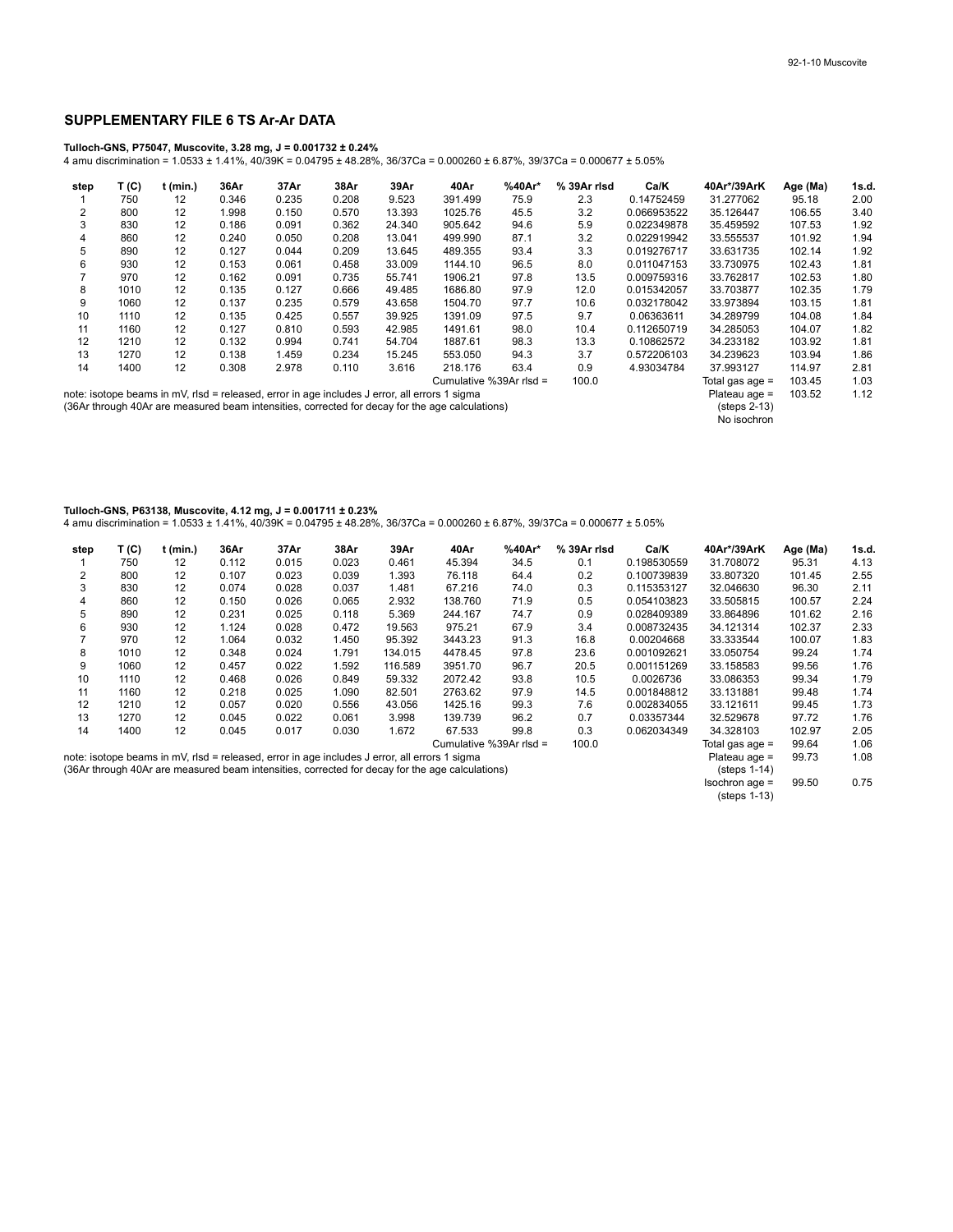## **SUPPLEMENTARY FILE 6 TS Ar-Ar DATA**

## **Tulloch-GNS, P75047, Muscovite, 3.28 mg, J = 0.001732 ± 0.24%**

4 amu discrimination = 1.0533 ± 1.41%, 40/39K = 0.04795 ± 48.28%, 36/37Ca = 0.000260 ± 6.87%, 39/37Ca = 0.000677 ± 5.05%

| step | T (C)                   | t (min.) | 36Ar  | 37Ar                                                                                          | 38Ar  | 39Ar   | 40Ar                                                                                            | %40Ar* | % 39Ar risd | Ca/K              | 40Ar*/39ArK                                           | Age (Ma) | 1s.d. |
|------|-------------------------|----------|-------|-----------------------------------------------------------------------------------------------|-------|--------|-------------------------------------------------------------------------------------------------|--------|-------------|-------------------|-------------------------------------------------------|----------|-------|
|      | 750                     | 12       | 0.346 | 0.235                                                                                         | 0.208 | 9.523  | 391.499                                                                                         | 75.9   | 2.3         | 0.14752459        | 31.277062                                             | 95.18    | 2.00  |
| 2    | 800                     | 12       | 1.998 | 0.150                                                                                         | 0.570 | 13.393 | 1025.76                                                                                         | 45.5   | 3.2         | 0.066953522       | 35.126447                                             | 106.55   | 3.40  |
| 3    | 830                     | 12       | 0.186 | 0.091                                                                                         | 0.362 | 24.340 | 905.642                                                                                         | 94.6   | 5.9         | 0.022349878       | 35.459592                                             | 107.53   | 1.92  |
| 4    | 860                     | 12       | 0.240 | 0.050                                                                                         | 0.208 | 13.041 | 499.990                                                                                         | 87.1   | 3.2         | 0.022919942       | 33.555537                                             | 101.92   | 1.94  |
| 5    | 890                     | 12       | 0.127 | 0.044                                                                                         | 0.209 | 13.645 | 489.355                                                                                         | 93.4   | 3.3         | 0.019276717       | 33.631735                                             | 102.14   | 1.92  |
| 6    | 930                     | 12       | 0.153 | 0.061                                                                                         | 0.458 | 33.009 | 1144.10                                                                                         | 96.5   | 8.0         | 0.011047153       | 33.730975                                             | 102.43   | 1.81  |
|      | 970                     | 12       | 0.162 | 0.091                                                                                         | 0.735 | 55.741 | 1906.21                                                                                         | 97.8   | 13.5        | 0.009759316       | 33.762817                                             | 102.53   | 1.80  |
| 8    | 1010                    | 12       | 0.135 | 0.127                                                                                         | 0.666 | 49.485 | 1686.80                                                                                         | 97.9   | 12.0        | 0.015342057       | 33.703877                                             | 102.35   | 1.79  |
| 9    | 1060                    | 12       | 0.137 | 0.235                                                                                         | 0.579 | 43.658 | 1504.70                                                                                         | 97.7   | 10.6        | 0.032178042       | 33.973894                                             | 103.15   | 1.81  |
| 10   | 1110                    | 12       | 0.135 | 0.425                                                                                         | 0.557 | 39.925 | 1391.09                                                                                         | 97.5   | 9.7         | 0.06363611        | 34.289799                                             | 104.08   | 1.84  |
| 11   | 1160                    | 12       | 0.127 | 0.810                                                                                         | 0.593 | 42.985 | 1491.61                                                                                         | 98.0   | 10.4        | 0.112650719       | 34.285053                                             | 104.07   | 1.82  |
| 12   | 1210                    | 12       | 0.132 | 0.994                                                                                         | 0.741 | 54.704 | 1887.61                                                                                         | 98.3   | 13.3        | 0.10862572        | 34.233182                                             | 103.92   | 1.81  |
| 13   | 1270                    | 12       | 0.138 | 1.459                                                                                         | 0.234 | 15.245 | 553.050                                                                                         | 94.3   | 3.7         | 0.572206103       | 34.239623                                             | 103.94   | 1.86  |
| 14   | 1400                    | 12       | 0.308 | 2.978                                                                                         | 0.110 | 3.616  | 218.176                                                                                         | 63.4   | 0.9         | 4.93034784        | 37.993127                                             | 114.97   | 2.81  |
|      | Cumulative %39Ar rlsd = |          |       |                                                                                               |       |        |                                                                                                 | 100.0  |             | Total gas age $=$ | 103.45                                                | 1.03     |       |
|      |                         |          |       | note: isotope beams in mV, rlsd = released, error in age includes J error, all errors 1 sigma |       |        | (36Ar through 40Ar are measured beam intensities, corrected for decay for the age calculations) |        |             |                   | Plateau age =<br>$(s_{t}$ eps 2-13 $)$<br>No isochron | 103.52   | 1.12  |

## **Tulloch-GNS, P63138, Muscovite, 4.12 mg, J = 0.001711 ± 0.23%**

4 amu discrimination = 1.0533 ± 1.41%, 40/39K = 0.04795 ± 48.28%, 36/37Ca = 0.000260 ± 6.87%, 39/37Ca = 0.000677 ± 5.05%

| step                                                                                                                                                                                             | T (C) | t (min.) | 36Ar  | 37Ar  | 38Ar  | 39Ar    | 40Ar                    | %40Ar* | % 39Ar risd | Ca/K        | 40Ar*/39ArK                               | Age (Ma) | 1s.d. |
|--------------------------------------------------------------------------------------------------------------------------------------------------------------------------------------------------|-------|----------|-------|-------|-------|---------|-------------------------|--------|-------------|-------------|-------------------------------------------|----------|-------|
|                                                                                                                                                                                                  | 750   | 12       | 0.112 | 0.015 | 0.023 | 0.461   | 45.394                  | 34.5   | 0.1         | 0.198530559 | 31.708072                                 | 95.31    | 4.13  |
| 2                                                                                                                                                                                                | 800   | 12       | 0.107 | 0.023 | 0.039 | 1.393   | 76.118                  | 64.4   | 0.2         | 0.100739839 | 33.807320                                 | 101.45   | 2.55  |
| 3                                                                                                                                                                                                | 830   | 12       | 0.074 | 0.028 | 0.037 | 1.481   | 67.216                  | 74.0   | 0.3         | 0.115353127 | 32.046630                                 | 96.30    | 2.11  |
| 4                                                                                                                                                                                                | 860   | 12       | 0.150 | 0.026 | 0.065 | 2.932   | 138.760                 | 71.9   | 0.5         | 0.054103823 | 33.505815                                 | 100.57   | 2.24  |
| 5                                                                                                                                                                                                | 890   | 12       | 0.231 | 0.025 | 0.118 | 5.369   | 244.167                 | 74.7   | 0.9         | 0.028409389 | 33.864896                                 | 101.62   | 2.16  |
| 6                                                                                                                                                                                                | 930   | 12       | 1.124 | 0.028 | 0.472 | 19.563  | 975.21                  | 67.9   | 3.4         | 0.008732435 | 34.121314                                 | 102.37   | 2.33  |
|                                                                                                                                                                                                  | 970   | 12       | .064  | 0.032 | 1.450 | 95.392  | 3443.23                 | 91.3   | 16.8        | 0.00204668  | 33.333544                                 | 100.07   | 1.83  |
| 8                                                                                                                                                                                                | 1010  | 12       | 0.348 | 0.024 | 1.791 | 134.015 | 4478.45                 | 97.8   | 23.6        | 0.001092621 | 33.050754                                 | 99.24    | 1.74  |
| 9                                                                                                                                                                                                | 1060  | 12       | 0.457 | 0.022 | 1.592 | 116.589 | 3951.70                 | 96.7   | 20.5        | 0.001151269 | 33.158583                                 | 99.56    | 1.76  |
| 10                                                                                                                                                                                               | 1110  | 12       | 0.468 | 0.026 | 0.849 | 59.332  | 2072.42                 | 93.8   | 10.5        | 0.0026736   | 33.086353                                 | 99.34    | 1.79  |
| 11                                                                                                                                                                                               | 1160  | 12       | 0.218 | 0.025 | 1.090 | 82.501  | 2763.62                 | 97.9   | 14.5        | 0.001848812 | 33.131881                                 | 99.48    | 1.74  |
| 12                                                                                                                                                                                               | 1210  | 12       | 0.057 | 0.020 | 0.556 | 43.056  | 1425.16                 | 99.3   | 7.6         | 0.002834055 | 33.121611                                 | 99.45    | 1.73  |
| 13                                                                                                                                                                                               | 1270  | 12       | 0.045 | 0.022 | 0.061 | 3.998   | 139.739                 | 96.2   | 0.7         | 0.03357344  | 32.529678                                 | 97.72    | 1.76  |
| 14                                                                                                                                                                                               | 1400  | 12       | 0.045 | 0.017 | 0.030 | 1.672   | 67.533                  | 99.8   | 0.3         | 0.062034349 | 34.328103                                 | 102.97   | 2.05  |
|                                                                                                                                                                                                  |       |          |       |       |       |         | Cumulative %39Ar rlsd = |        | 100.0       |             | Total gas age $=$                         | 99.64    | 1.06  |
| note: isotope beams in mV, rlsd = released, error in age includes J error, all errors 1 sigma<br>(36Ar through 40Ar are measured beam intensities, corrected for decay for the age calculations) |       |          |       |       |       |         |                         |        |             |             | Plateau age =<br>$(s_{\text{teps}} 1-14)$ | 99.73    | 1.08  |
|                                                                                                                                                                                                  |       |          |       |       |       |         |                         |        |             |             | Isochron age =<br>$(s_{t}$ (steps 1-13)   | 99.50    | 0.75  |